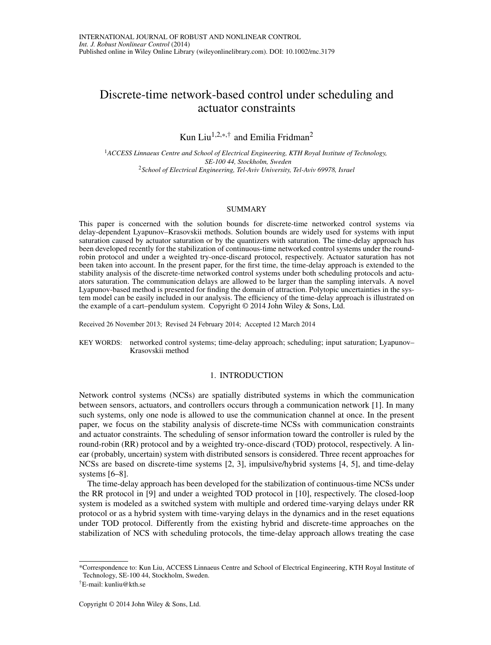# Discrete-time network-based control under scheduling and actuator constraints

Kun Liu<sup>1,2,\*,†</sup> and Emilia Fridman<sup>2</sup>

<sup>1</sup>*ACCESS Linnaeus Centre and School of Electrical Engineering, KTH Royal Institute of Technology, SE-100 44, Stockholm, Sweden* <sup>2</sup>*School of Electrical Engineering, Tel-Aviv University, Tel-Aviv 69978, Israel*

#### SUMMARY

This paper is concerned with the solution bounds for discrete-time networked control systems via delay-dependent Lyapunov–Krasovskii methods. Solution bounds are widely used for systems with input saturation caused by actuator saturation or by the quantizers with saturation. The time-delay approach has been developed recently for the stabilization of continuous-time networked control systems under the roundrobin protocol and under a weighted try-once-discard protocol, respectively. Actuator saturation has not been taken into account. In the present paper, for the first time, the time-delay approach is extended to the stability analysis of the discrete-time networked control systems under both scheduling protocols and actuators saturation. The communication delays are allowed to be larger than the sampling intervals. A novel Lyapunov-based method is presented for finding the domain of attraction. Polytopic uncertainties in the system model can be easily included in our analysis. The efficiency of the time-delay approach is illustrated on the example of a cart–pendulum system. Copyright  $\odot$  2014 John Wiley & Sons, Ltd.

Received 26 November 2013; Revised 24 February 2014; Accepted 12 March 2014

KEY WORDS: networked control systems; time-delay approach; scheduling; input saturation; Lyapunov– Krasovskii method

#### 1. INTRODUCTION

Network control systems (NCSs) are spatially distributed systems in which the communication between sensors, actuators, and controllers occurs through a communication network [\[1\]](#page-13-0). In many such systems, only one node is allowed to use the communication channel at once. In the present paper, we focus on the stability analysis of discrete-time NCSs with communication constraints and actuator constraints. The scheduling of sensor information toward the controller is ruled by the round-robin (RR) protocol and by a weighted try-once-discard (TOD) protocol, respectively. A linear (probably, uncertain) system with distributed sensors is considered. Three recent approaches for NCSs are based on discrete-time systems [\[2,](#page-13-1) [3\]](#page-13-2), impulsive/hybrid systems [\[4,](#page-13-3) [5\]](#page-13-4), and time-delay systems [\[6](#page-13-5)[–8\]](#page-13-6).

The time-delay approach has been developed for the stabilization of continuous-time NCSs under the RR protocol in [\[9\]](#page-13-7) and under a weighted TOD protocol in [\[10\]](#page-13-8), respectively. The closed-loop system is modeled as a switched system with multiple and ordered time-varying delays under RR protocol or as a hybrid system with time-varying delays in the dynamics and in the reset equations under TOD protocol. Differently from the existing hybrid and discrete-time approaches on the stabilization of NCS with scheduling protocols, the time-delay approach allows treating the case

<sup>\*</sup>Correspondence to: Kun Liu, ACCESS Linnaeus Centre and School of Electrical Engineering, KTH Royal Institute of Technology, SE-100 44, Stockholm, Sweden.

<sup>†</sup>E-mail: kunliu@kth.se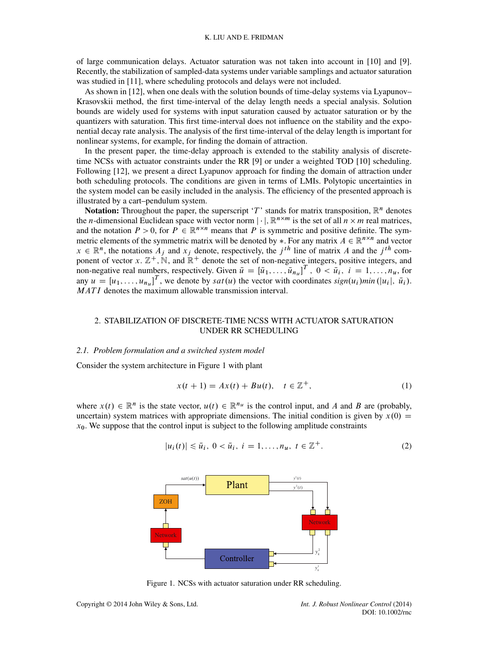of large communication delays. Actuator saturation was not taken into account in [\[10\]](#page-13-8) and [\[9\]](#page-13-7). Recently, the stabilization of sampled-data systems under variable samplings and actuator saturation was studied in [\[11\]](#page-13-9), where scheduling protocols and delays were not included.

As shown in [\[12\]](#page-13-10), when one deals with the solution bounds of time-delay systems via Lyapunov– Krasovskii method, the first time-interval of the delay length needs a special analysis. Solution bounds are widely used for systems with input saturation caused by actuator saturation or by the quantizers with saturation. This first time-interval does not influence on the stability and the exponential decay rate analysis. The analysis of the first time-interval of the delay length is important for nonlinear systems, for example, for finding the domain of attraction.

In the present paper, the time-delay approach is extended to the stability analysis of discretetime NCSs with actuator constraints under the RR [\[9\]](#page-13-7) or under a weighted TOD [\[10\]](#page-13-8) scheduling. Following [\[12\]](#page-13-10), we present a direct Lyapunov approach for finding the domain of attraction under both scheduling protocols. The conditions are given in terms of LMIs. Polytopic uncertainties in the system model can be easily included in the analysis. The efficiency of the presented approach is illustrated by a cart–pendulum system.

**Notation:** Throughout the paper, the superscript 'T' stands for matrix transposition,  $\mathbb{R}^n$  denotes the *n*-dimensional Euclidean space with vector norm  $|\cdot|$ ,  $\mathbb{R}^{n \times m}$  is the set of all  $n \times m$  real matrices, and the notation  $P > 0$  for  $P \in \mathbb{R}^{n \times n}$  means that P is symmetric and nositive definite. The symmetr and the notation  $P > 0$ , for  $P \in \mathbb{R}^{n \times n}$  means that P is symmetric and positive definite. The symmetric elements of the symmetric matrix will be denoted by  $*$  For any matrix  $A \in \mathbb{R}^{n \times n}$  and vector metric elements of the symmetric matrix will be denoted by  $\ast$ . For any matrix  $A \in \mathbb{R}^{n \times}$ <br> $x \in \mathbb{R}^n$  the notations  $A_{\ast}$  and  $x_{\ast}$  denote, respectively, the *i*<sup>th</sup> line of matrix A and t metric elements of the symmetric matrix will be denoted by \*. For any matrix  $A \in \mathbb{R}^{n \times n}$  and vector  $x \in \mathbb{R}^n$ , the notations  $A_j$  and  $x_j$  denote, respectively, the  $j^{th}$  line of matrix A and the  $j^{th}$  com-<br>ponent of vector  $x \in \mathbb{Z}^+$  N and  $\mathbb{R}^+$  denote the set of non-negative integers nositive integers an ponent of vector x.  $\mathbb{Z}^+$ , N, and  $\mathbb{R}^+$  denote the set of non-negative integers, positive integers, and<br>non-negative real numbers, respectively Given  $\bar{u} = [\bar{u}, \bar{u}, \bar{u}]^T$ ,  $0 < \bar{u}, \bar{u} = 1$ , n., for non-negative real numbers, respectively. Given  $\overline{u} = [\overline{u}_1, \dots, \overline{u}_{n_u}]^T$ ,  $0 < \overline{u}_i$ ,  $i = 1, \dots, n_u$ , for  $\text{env } u = [u_1, \dots, u_u]$  and  $u \in [u_1, \dots, u_u]$  are denote by satively the vector with coordinates  $\text{sign}(u_1)$  min any  $u = [u_1, \ldots, u_{n_u}]^T$ , we denote by *sat*  $(u)$  the vector with coordinates  $sign(u_i)min(|u_i|, \bar{u}_i)$ .<br>*MATI* denotes the maximum allowable transmission interval MATI denotes the maximum allowable transmission interval.

# 2. STABILIZATION OF DISCRETE-TIME NCSS WITH ACTUATOR SATURATION UNDER RR SCHEDULING

#### *2.1. Problem formulation and a switched system model*

Consider the system architecture in Figure [1](#page-1-0) with plant

<span id="page-1-2"></span>
$$
x(t + 1) = Ax(t) + Bu(t), \quad t \in \mathbb{Z}^{+},
$$
 (1)

where  $x(t) \in \mathbb{R}^n$  is the state vector,  $u(t) \in \mathbb{R}^{n_u}$  is the control input, and A and B are (probably, uncertain) system matrices with appropriate dimensions. The initial condition is given by  $x(0) =$  $x<sub>0</sub>$ . We suppose that the control input is subject to the following amplitude constraints

<span id="page-1-1"></span>
$$
|u_i(t)| \le \bar{u}_i, \ 0 < \bar{u}_i, \ i = 1, \dots, n_u, \ t \in \mathbb{Z}^+.
$$
\n(2)



<span id="page-1-0"></span>Figure 1. NCSs with actuator saturation under RR scheduling.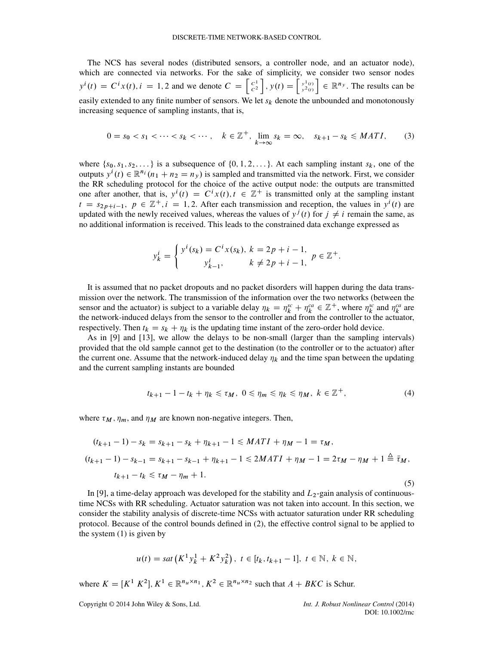The NCS has several nodes (distributed sensors, a controller node, and an actuator node), which are connected via networks. For the sake of simplicity, we consider two sensor nodes  $y^{i}(t) = C^{i}x(t), i = 1, 2$  and we denote  $C = \begin{bmatrix} C^{1} \\ C^{2} \end{bmatrix}$ ,  $y(t) = \begin{bmatrix} y^{1}(t) \\ y^{2}(t) \end{bmatrix} \in \mathbb{R}^{n_{y}}$ . The results can be easily extended to any finite number of sensors. We let  $s_k$  denote the unbounded and monotonously increasing sequence of sampling instants, that is,

<span id="page-2-0"></span>
$$
0 = s_0 < s_1 < \dots < s_k < \dots, \quad k \in \mathbb{Z}^+, \lim_{k \to \infty} s_k = \infty, \quad s_{k+1} - s_k \le MATI,\tag{3}
$$

where  $\{s_0, s_1, s_2, \ldots\}$  is a subsequence of  $\{0, 1, 2, \ldots\}$ . At each sampling instant  $s_k$ , one of the outputs  $y^{i}(t) \in \mathbb{R}^{n_i}$   $(n_1 + n_2 = n_y)$  is sampled and transmitted via the network. First, we consider the RR scheduling protocol for the choice of the active output node: the outputs are transmitted the RR scheduling protocol for the choice of the active output node: the outputs are transmitted one after another, that is,  $y'(t) = C^t x(t)$ ,  $t \in \mathbb{Z}^+$  is transmitted only at the sampling instant  $t = s_{\text{cyclic}}$ ,  $n \in \mathbb{Z}^+$  is  $t = 1, 2$ . After each transmission and reception, the values in  $y'(t)$  are  $(t) = C^t$ <br> $-1$  2 Afte  $t = s_{2p+i-1}, p \in \mathbb{Z}^+, i = 1, 2$ . After each transmission and reception, the values in  $y^{i}(t)$  are undated with the newly received values whereas the values of  $y^{j}(t)$  for  $i \neq i$  remain the same as updated with the newly received values, whereas the values of  $y^{j}(t)$  for  $j \neq i$  remain the same, as no additional information is received. This leads to the constrained data exchange expressed as

$$
y_k^i = \begin{cases} y^i(s_k) = C^i x(s_k), \ k = 2p + i - 1, \\ y_{k-1}^i, \ k \neq 2p + i - 1, \end{cases} p \in \mathbb{Z}^+.
$$

It is assumed that no packet dropouts and no packet disorders will happen during the data transmission over the network. The transmission of the information over the two networks (between the sensor and the actuator) is subject to a variable delay  $\eta_k = \eta_k^{\kappa} + \eta_k^{\kappa} \in \mathbb{Z}^+$ , where  $\eta_k^{\kappa}$  and  $\eta_k^{\kappa}$  are<br>the network-induced delays from the sensor to the controller and from the controller to the ac the network-induced delays from the sensor to the controller and from the controller to the actuator, respectively. Then  $t_k = s_k + \eta_k$  is the updating time instant of the zero-order hold device.

As in [\[9\]](#page-13-7) and [\[13\]](#page-13-11), we allow the delays to be non-small (larger than the sampling intervals) provided that the old sample cannot get to the destination (to the controller or to the actuator) after the current one. Assume that the network-induced delay  $\eta_k$  and the time span between the updating and the current sampling instants are bounded

<span id="page-2-1"></span>
$$
t_{k+1}-1-t_k+\eta_k\leq \tau_M,\ 0\leq \eta_m\leq \eta_k\leq \eta_M,\ k\in \mathbb{Z}^+, \qquad (4)
$$

where  $\tau_M$ ,  $\eta_m$ , and  $\eta_M$  are known non-negative integers. Then,

$$
(t_{k+1}-1) - s_k = s_{k+1} - s_k + \eta_{k+1} - 1 \le MATI + \eta_M - 1 = \tau_M,
$$
  
\n
$$
(t_{k+1}-1) - s_{k-1} = s_{k+1} - s_{k-1} + \eta_{k+1} - 1 \le 2MATI + \eta_M - 1 = 2\tau_M - \eta_M + 1 \stackrel{\triangle}{=} \bar{\tau}_M,
$$
  
\n
$$
t_{k+1} - t_k \le \tau_M - \eta_m + 1.
$$
  
\n(5)

In [\[9\]](#page-13-7), a time-delay approach was developed for the stability and  $L_2$ -gain analysis of continuoustime NCSs with RR scheduling. Actuator saturation was not taken into account. In this section, we consider the stability analysis of discrete-time NCSs with actuator saturation under RR scheduling protocol. Because of the control bounds defined in [\(2\)](#page-1-1), the effective control signal to be applied to the system  $(1)$  is given by

$$
u(t) = sat\left(K^1 y_k^1 + K^2 y_k^2\right), \ t \in [t_k, t_{k+1} - 1], \ t \in \mathbb{N}, \ k \in \mathbb{N},
$$

where  $K = [K^T K^2], K^1 \in \mathbb{R}^{n_u \times n_1}, K^2 \in \mathbb{R}^{n_u \times n_2}$  such that  $A + BKC$  is Schur.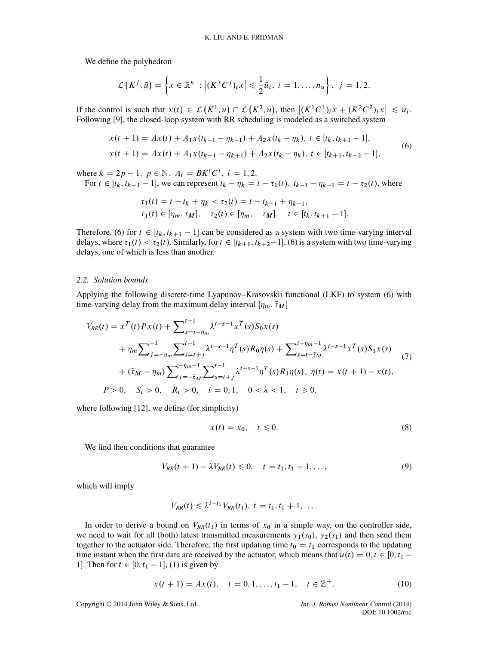We define the polyhedron

$$
\mathcal{L}\left(K^{j},\bar{u}\right)=\left\{x\in\mathbb{R}^{n}:\left|(K^{j}C^{j})_{i}x\right|\leq\frac{1}{2}\bar{u}_{i},i=1,\ldots,n_{u}\right\},j=1,2.
$$

If the control is such that  $x(t) \in L(K^1, \bar{u}) \cap L(K^2, \bar{u})$ , then  $|(K^1C^1)_ix + (K^2C^2)_ix| \leq \bar{u}_i$ .<br>Following [9] the closed-loop system with RR scheduling is modeled as a switched system It the control is such that  $x(t) \in L(\mathbf{A}^*, u) \cap L(\mathbf{A}^*, u)$ , then  $|(\mathbf{A}^*, \mathbf{C}^*)_i x + (\mathbf{A}^*, \mathbf{C}^*)_i x$ <br>Following [\[9\]](#page-13-7), the closed-loop system with RR scheduling is modeled as a switched system

<span id="page-3-0"></span>
$$
x(t+1) = Ax(t) + A_1x(t_{k-1} - \eta_{k-1}) + A_2x(t_k - \eta_k), \ t \in [t_k, t_{k+1} - 1],
$$
  
\n
$$
x(t+1) = Ax(t) + A_1x(t_{k+1} - \eta_{k+1}) + A_2x(t_k - \eta_k), \ t \in [t_{k+1}, t_{k+2} - 1],
$$
\n(6)

where  $k = 2p - 1$ ,  $p \in \mathbb{N}$ ,  $A_i = BK^t C^i$ ,  $i = 1, 2$ .<br>For  $t \in [t_1, t_{k+1} - 1]$  we can represent  $t_k - n_k =$ 

For  $t \in [t_k, t_{k+1} - 1]$ , we can represent  $t_k - \eta_k = t - \tau_1(t)$ ,  $t_{k-1} - \eta_{k-1} = t - \tau_2(t)$ , where

$$
\tau_1(t) = t - t_k + \eta_k < \tau_2(t) = t - t_{k-1} + \eta_{k-1},
$$
\n
$$
\tau_1(t) \in [\eta_m, \tau_M], \quad \tau_2(t) \in [\eta_m, \quad \bar{\tau}_M], \quad t \in [t_k, t_{k+1} - 1].
$$

Therefore, [\(6\)](#page-3-0) for  $t \in [t_k, t_{k+1} - 1]$  can be considered as a system with two time-varying interval<br>delays where  $\tau_1(t) < \tau_2(t)$ . Similarly for  $t \in [t_{k+1}, t_{k+2} - 1]$  (6) is a system with two time-varying delays, where  $\tau_1(t) < \tau_2(t)$ . Similarly, for  $t \in [t_{k+1}, t_{k+2}-1]$ , [\(6\)](#page-3-0) is a system with two time-varying delays one of which is less than another delays, one of which is less than another.

#### *2.2. Solution bounds*

Applying the following discrete-time Lyapunov–Krasovskii functional (LKF) to system [\(6\)](#page-3-0) with time-varying delay from the maximum delay interval  $[\eta_m, \bar{\tau}_M]$ 

<span id="page-3-2"></span>
$$
V_{RR}(t) = x^{T}(t)Px(t) + \sum_{s=t-\eta_{m}}^{t-1} \lambda^{t-s-1}x^{T}(s)S_{0}x(s)
$$
  
+  $\eta_{m} \sum_{j=-\eta_{m}}^{-1} \sum_{s=t+j}^{t-1} \lambda^{t-s-1} \eta^{T}(s)R_{0}\eta(s) + \sum_{s=t-\tilde{\tau}_{M}}^{t-\eta_{m}-1} \lambda^{t-s-1}x^{T}(s)S_{1}x(s)$   
+  $(\bar{\tau}_{M} - \eta_{m}) \sum_{j=-\tilde{\tau}_{M}}^{-\eta_{m}-1} \sum_{s=t+j}^{t-1} \lambda^{t-s-1} \eta^{T}(s)R_{1}\eta(s), \ \eta(t) = x(t+1) - x(t),$   
 $P > 0, \quad S_{i} > 0, \quad R_{i} > 0, \quad i = 0, 1, \quad 0 < \lambda < 1, \quad t \ge 0,$  (7)

where following [\[12\]](#page-13-10), we define (for simplicity)

<span id="page-3-3"></span>
$$
x(t) = x_0, \quad t \le 0. \tag{8}
$$

We find then conditions that guarantee

<span id="page-3-4"></span>
$$
V_{RR}(t+1) - \lambda V_{RR}(t) \le 0, \quad t = t_1, t_1 + 1, \dots,
$$
\n(9)

which will imply

$$
V_{RR}(t) \leq \lambda^{t-t_1} V_{RR}(t_1), t = t_1, t_1 + 1, \ldots
$$

In order to derive a bound on  $V_{RR}(t_1)$  in terms of  $x_0$  in a simple way, on the controller side, we need to wait for all (both) latest transmitted measurements  $y_1(s_0)$ ,  $y_2(s_1)$  and then send them together to the actuator side. Therefore, the first updating time  $t_0 = t_1$  corresponds to the updating time instant when the first data are received by the actuator, which means that  $u(t) = 0, t \in [0, t_1 -$ 1]. Then for  $t \in [0, t_1 - 1]$ , [\(1\)](#page-1-2) is given by

<span id="page-3-1"></span>
$$
x(t + 1) = Ax(t), \quad t = 0, 1, \dots, t_1 - 1, \quad t \in \mathbb{Z}^+.
$$
 (10)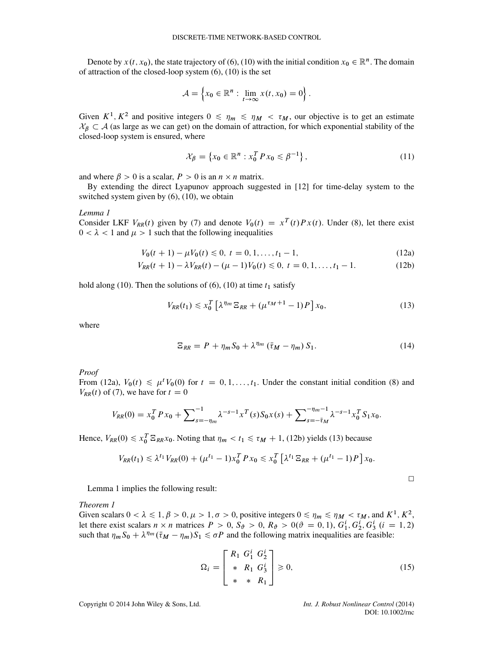Denote by  $x(t, x_0)$ , the state trajectory of [\(6\)](#page-3-0), [\(10\)](#page-3-1) with the initial condition  $x_0 \in \mathbb{R}^n$ . The domain of attraction of the closed-loop system [\(6\)](#page-3-0), [\(10\)](#page-3-1) is the set

$$
\mathcal{A} = \left\{ x_0 \in \mathbb{R}^n : \lim_{t \to \infty} x(t, x_0) = 0 \right\}.
$$

Given  $K^1, K^2$  and positive integers  $0 \le \eta_m \le \eta_M < \tau_M$ , our objective is to get an estimate  $X_{\beta} \subset A$  (as large as we can get) on the domain of attraction, for which exponential stability of the closed-loop system is ensured, where

<span id="page-4-5"></span>
$$
\mathcal{X}_{\beta} = \{ x_0 \in \mathbb{R}^n : x_0^T P x_0 \le \beta^{-1} \},\tag{11}
$$

and where  $\beta > 0$  is a scalar,  $P > 0$  is an  $n \times n$  matrix.

By extending the direct Lyapunov approach suggested in [\[12\]](#page-13-10) for time-delay system to the switched system given by [\(6\)](#page-3-0), [\(10\)](#page-3-1), we obtain

#### <span id="page-4-3"></span>*Lemma 1*

Consider LKF  $V_{RR}(t)$  given by [\(7\)](#page-3-2) and denote  $V_0(t) = x^T(t)Px(t)$ . Under [\(8\)](#page-3-3), let there exist  $0 < \lambda < 1$  and  $\mu > 1$  such that the following inequalities

$$
V_0(t+1) - \mu V_0(t) \le 0, \ t = 0, 1, \dots, t_1 - 1,
$$
\n(12a)  
\n
$$
V_0(t+1) - V_1(t) \le 0, \ t = 0, 1, \dots, t_1 - 1,
$$
\n(12b)

$$
V_{RR}(t+1) - \lambda V_{RR}(t) - (\mu - 1)V_0(t) \le 0, \ t = 0, 1, ..., t_1 - 1.
$$
 (12b)

hold along [\(10\)](#page-3-1). Then the solutions of [\(6\)](#page-3-0), (10) at time  $t_1$  satisfy

<span id="page-4-2"></span>
$$
V_{RR}(t_1) \le x_0^T \left[ \lambda^{\eta_m} \mathbb{E}_{RR} + (\mu^{\tau_M + 1} - 1)P \right] x_0,\tag{13}
$$

where

$$
\Xi_{RR} = P + \eta_m S_0 + \lambda^{\eta_m} (\bar{\tau}_M - \eta_m) S_1.
$$
 (14)

*Proof*

From [\(12a\)](#page-4-0),  $V_0(t) \le \mu^t V_0(0)$  for  $t = 0, 1, ..., t_1$ . Under the constant initial condition [\(8\)](#page-3-3) and  $V_{nn}(t)$  of (7) we have for  $t = 0$  $V_{RR}(t)$  of [\(7\)](#page-3-2), we have for  $t = 0$ 

$$
V_{RR}(0) = x_0^T P x_0 + \sum_{s=-\eta_m}^{-1} \lambda^{-s-1} x^T(s) S_0 x(s) + \sum_{s=-\bar{\tau}_M}^{-\eta_m-1} \lambda^{-s-1} x_0^T S_1 x_0.
$$

Hence,  $V_{RR}(0) \le x_0^T \Xi_{RR} x_0$ . Noting that  $\eta_m < t_1 \le \tau_M + 1$ , [\(12b\)](#page-4-1) yields [\(13\)](#page-4-2) because

$$
V_{RR}(t_1) \leq \lambda^{t_1} V_{RR}(0) + (\mu^{t_1} - 1) x_0^T P x_0 \leq x_0^T \left[ \lambda^{t_1} \Xi_{RR} + (\mu^{t_1} - 1) P \right] x_0.
$$

<span id="page-4-1"></span><span id="page-4-0"></span>
$$
\Box
$$

Lemma [1](#page-4-3) implies the following result:

#### <span id="page-4-6"></span>*Theorem 1*

Given scalars  $0 < \lambda \leq 1, \beta > 0, \mu > 1, \sigma > 0$ , positive integers  $0 \leq \eta_m \leq \eta_M < \tau_M$ , and  $K^1, K^2$ , let there exist scalars  $n \times n$  matrices  $P > 0$ ,  $S_{\vartheta} > 0$ ,  $R_{\vartheta} > 0$   $(\vartheta = 0, 1)$ ,  $G_1^1, G_2^1, G_3^1$   $(i = 1, 2)$ <br>such that  $n \times S_1 + \lambda^n m(\bar{\tau}_{M-1} - n)S_2 < \sigma P$  and the following matrix inequalities are feasible: Let there exist scalars  $n \times n$  matrices  $P > 0$ ,  $S_{\vartheta} > 0$ ,  $R_{\vartheta} > 0$  ( $v = 0, 1$ ),  $G_1, G_2, G_3$  ( $v =$ <br>such that  $\eta_m S_0 + \lambda^{\eta_m} (\bar{\tau}_M - \eta_m) S_1 \le \sigma P$  and the following matrix inequalities are feasible:

<span id="page-4-4"></span>
$$
\Omega_i = \begin{bmatrix} R_1 & G_1^i & G_2^i \\ * & R_1 & G_3^i \\ * & * & R_1 \end{bmatrix} \geq 0,\tag{15}
$$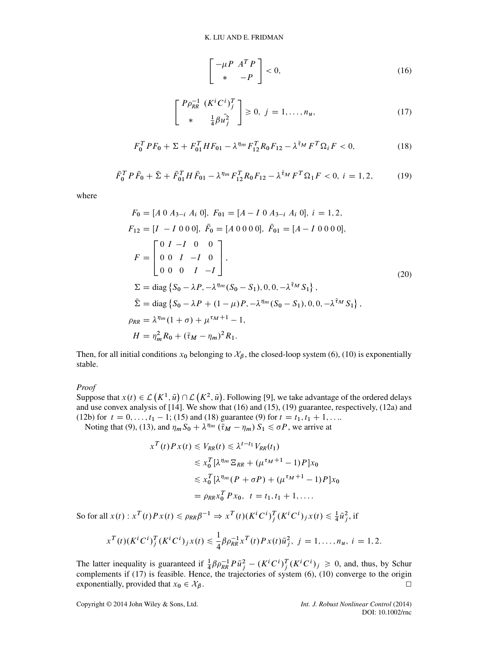<span id="page-5-0"></span>
$$
\begin{bmatrix} -\mu P & A^T P \\ * & -P \end{bmatrix} < 0,\tag{16}
$$

<span id="page-5-3"></span>
$$
\begin{bmatrix}\nP\rho_{RR}^{-1} & (K^iC^i)^T_j \\
* & \frac{1}{4}\beta u_j^2\n\end{bmatrix} \ge 0, \ j = 1, \dots, n_u,\tag{17}
$$

<span id="page-5-2"></span>
$$
F_0^T P F_0 + \Sigma + F_{01}^T H F_{01} - \lambda^{\eta_m} F_{12}^T R_0 F_{12} - \lambda^{\bar{\tau}_M} F^T \Omega_i F < 0,\tag{18}
$$

<span id="page-5-1"></span>
$$
\bar{F}_0^T P \bar{F}_0 + \bar{\Sigma} + \bar{F}_{01}^T H \bar{F}_{01} - \lambda^{\eta_m} F_{12}^T R_0 F_{12} - \lambda^{\bar{\tau}_M} F^T \Omega_1 F < 0, \ i = 1, 2,\tag{19}
$$

where

$$
F_0 = [A \ 0 \ A_{3-i} \ A_i \ 0], \ F_{01} = [A - I \ 0 \ A_{3-i} \ A_i \ 0], \ i = 1, 2,
$$
  
\n
$$
F_{12} = [I - I \ 0 \ 0 \ 0], \ \bar{F}_0 = [A \ 0 \ 0 \ 0 \ 0], \ \bar{F}_{01} = [A - I \ 0 \ 0 \ 0 \ 0],
$$
  
\n
$$
F = \begin{bmatrix} 0 & I - I & 0 & 0 \\ 0 & 0 & I & -I & 0 \\ 0 & 0 & 0 & I & -I \end{bmatrix},
$$
  
\n
$$
\Sigma = \text{diag} \{ S_0 - \lambda P, -\lambda^{\eta_m} (S_0 - S_1), 0, 0, -\lambda^{\bar{\tau}_M} S_1 \},
$$
  
\n
$$
\bar{\Sigma} = \text{diag} \{ S_0 - \lambda P + (1 - \mu) P, -\lambda^{\eta_m} (S_0 - S_1), 0, 0, -\lambda^{\bar{\tau}_M} S_1 \},
$$
  
\n
$$
\rho_{RR} = \lambda^{\eta_m} (1 + \sigma) + \mu^{\tau_M + 1} - 1,
$$
  
\n
$$
H = \eta_m^2 R_0 + (\bar{\tau}_M - \eta_m)^2 R_1.
$$
\n(20)

Then, for all initial conditions  $x_0$  belonging to  $\mathcal{X}_{\beta}$ , the closed-loop system [\(6\)](#page-3-0), [\(10\)](#page-3-1) is exponentially stable.

*Proof*

Suppose that  $x(t) \in \mathcal{L}(K^1, \bar{u}) \cap \mathcal{L}(K^2, \bar{u})$ . Following [\[9\]](#page-13-7), we take advantage of the ordered delays Suppose that  $x(t) \in L(\mathbf{K}^*, u) \cap L(\mathbf{K}^*, u)$ . Following [9], we take advantage of the ordered delays and use convex analysis of [\[14\]](#page-13-12). We show that [\(16\)](#page-5-0) and [\(15\)](#page-4-4), [\(19\)](#page-5-1) guarantee, respectively, [\(12a\)](#page-4-0) and [\(12b\)](#page-4-1) for  $t = 0, \ldots, t_1 - 1$ ; [\(15\)](#page-4-4) and [\(18\)](#page-5-2) guarantee [\(9\)](#page-3-4) for  $t = t_1, t_1 + 1, \ldots$ 

Noting that [\(9\)](#page-3-4), [\(13\)](#page-4-2), and  $\eta_m S_0 + \lambda^{\eta_m} (\bar{\tau}_M - \eta_m) S_1 \le \sigma P$ , we arrive at

$$
x^{T}(t)Px(t) \leq V_{RR}(t) \leq \lambda^{t-t_{1}}V_{RR}(t_{1})
$$
  
\n
$$
\leq x_{0}^{T}[\lambda^{\eta_{m}}\Xi_{RR} + (\mu^{\tau_{M}+1} - 1)P]x_{0}
$$
  
\n
$$
\leq x_{0}^{T}[\lambda^{\eta_{m}}(P + \sigma P) + (\mu^{\tau_{M}+1} - 1)P]x_{0}
$$
  
\n
$$
= \rho_{RR}x_{0}^{T}Px_{0}, \quad t = t_{1}, t_{1} + 1, ....
$$

So for all  $x(t)$ :  $x^T(t)Px(t) \leq \rho_{RR}\beta^{-1} \Rightarrow x^T(t)(K^tC^t) \frac{1}{j}(K^tC^t)_{j}x(t) \leq \frac{1}{4}\bar{u}_{j}^2$ , if

$$
x^{T}(t)(K^{i}C^{i})_{j}^{T}(K^{i}C^{i})_{j}x(t) \leq \frac{1}{4}\beta\rho_{RR}^{-1}x^{T}(t)Px(t)\bar{u}_{j}^{2}, \ j=1,\ldots,n_{u}, \ i=1,2.
$$

The latter inequality is guaranteed if  $\frac{1}{4}\beta \rho_{RR}^{-1} P \bar{u}_j^2 - (K^i C^i)_j^T (K^i C^i)_j \ge 0$ , and, thus, by Schur complements if [\(17\)](#page-5-3) is feasible. Hence, the trajectories of system [\(6\)](#page-3-0), [\(10\)](#page-3-1) converge to the origin exponentially, provided that  $x_0 \in \mathcal{X}_{\beta}$ .  $\Box$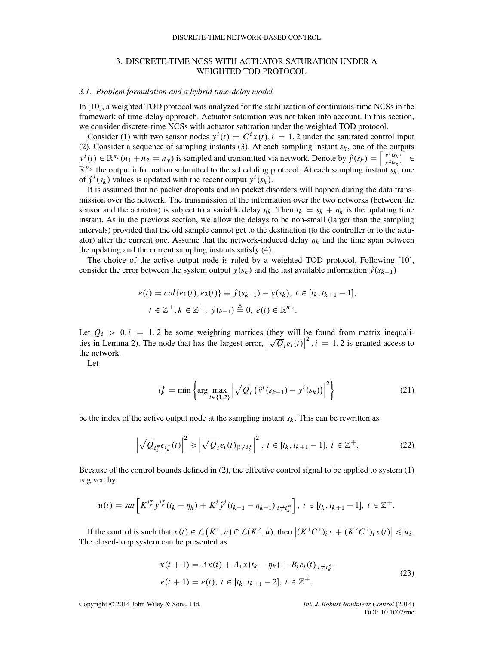# 3. DISCRETE-TIME NCSS WITH ACTUATOR SATURATION UNDER A WEIGHTED TOD PROTOCOL.

#### *3.1. Problem formulation and a hybrid time-delay model*

In [\[10\]](#page-13-8), a weighted TOD protocol was analyzed for the stabilization of continuous-time NCSs in the framework of time-delay approach. Actuator saturation was not taken into account. In this section, we consider discrete-time NCSs with actuator saturation under the weighted TOD protocol.

Consider [\(1\)](#page-1-2) with two sensor nodes  $y^{i}(t) = C^{i}x(t), i = 1, 2$  under the saturated control input (2). Consider a sequence of sampling instants (3). At each sampling instant  $s_k$ , one of the outputs [\(2\)](#page-1-1). Consider a sequence of sampling instants [\(3\)](#page-2-0). At each sampling instant  $s_k$ , one of the outputs  $y^i(t) \in \mathbb{R}^{n_i}$  ( $n = n$ ) is sampled and transmitted via patryck. Denote by  $\hat{y}(s_k) = \begin{bmatrix} \hat{y}^1(s_k) \\ \end{bmatrix}$  $y^{i}(t) \in \mathbb{R}^{n_i} (n_1 + n_2 = n_y)$  is sampled and transmitted via network. Denote by  $\hat{y}(s_k) = \begin{bmatrix} \hat{y}^{1}(s_k) \\ \hat{y}^{2}(s_k) \end{bmatrix} \in \mathbb{R}^{n_y}$  the output information submitted to the scheduling protocol. At each sampling i  $\mathbb{R}^{n_y}$  the output information submitted to the scheduling protocol. At each sampling instant  $s_k$ , one<br>of  $\hat{v}^i(s_k)$  values is undated with the recent output  $v^i(s_k)$ of  $\hat{y}^{i}(s_{k})$  values is updated with the recent output  $y^{i}(s_{k})$ .<br>It is assumed that no packet dropouts and no packet di

It is assumed that no packet dropouts and no packet disorders will happen during the data transmission over the network. The transmission of the information over the two networks (between the sensor and the actuator) is subject to a variable delay  $\eta_k$ . Then  $t_k = s_k + \eta_k$  is the updating time instant. As in the previous section, we allow the delays to be non-small (larger than the sampling intervals) provided that the old sample cannot get to the destination (to the controller or to the actuator) after the current one. Assume that the network-induced delay  $n_k$  and the time span between the updating and the current sampling instants satisfy [\(4\)](#page-2-1).

The choice of the active output node is ruled by a weighted TOD protocol. Following [\[10\]](#page-13-8), consider the error between the system output  $y(s_k)$  and the last available information  $\hat{y}(s_{k-1})$ 

$$
e(t) = col\{e_1(t), e_2(t)\} \equiv \hat{y}(s_{k-1}) - y(s_k), \ t \in [t_k, t_{k+1} - 1],
$$
  

$$
t \in \mathbb{Z}^+, k \in \mathbb{Z}^+, \ \hat{y}(s_{-1}) \stackrel{\Delta}{=} 0, \ e(t) \in \mathbb{R}^{n_y}.
$$

Let  $Q_i > 0, i = 1, 2$  be some weighting matrices (they will be found from matrix inequalities in Lemma [2\)](#page-9-0). The node that has the largest error,  $\left|\sqrt{Q_i}e_i(t)\right|^2, i = 1, 2$  is granted access to  $\left[\sqrt{Q_i}e_i(t)\right]^2$ ,  $i = 1, 2$  is granted access to the network.

Let

$$
i_k^* = \min \left\{ \arg \max_{i \in \{1,2\}} \left| \sqrt{\mathcal{Q}}_i \left( \hat{y}^i (s_{k-1}) - y^i (s_k) \right) \right|^2 \right\} \tag{21}
$$

be the index of the active output node at the sampling instant  $s_k$ . This can be rewritten as

<span id="page-6-0"></span>
$$
\left|\sqrt{Q}_{i_k^*}e_{i_k^*}(t)\right|^2 \ge \left|\sqrt{Q}_i e_i(t)_{|i \neq i_k^*}\right|^2, \ t \in [t_k, t_{k+1} - 1], \ t \in \mathbb{Z}^+.
$$
 (22)

Because of the control bounds defined in [\(2\)](#page-1-1), the effective control signal to be applied to system [\(1\)](#page-1-2) is given by

$$
u(t) = sat\left[K^{i_k^*} y^{i_k^*} (t_k - \eta_k) + K^i \hat{y}^i (t_{k-1} - \eta_{k-1})_{|i \neq i_k^*}\right], \ t \in [t_k, t_{k+1} - 1], \ t \in \mathbb{Z}^+.
$$

If the control is such that  $x(t) \in \mathcal{L}(K^1, \bar{u}) \cap \mathcal{L}(K^2, \bar{u})$ , then  $|(K^1C^1)_ix + (K^2C^2)_ix(t)| \leq \bar{u}_i$ . The closed-loop system can be presented as

$$
x(t + 1) = Ax(t) + A_1x(t_k - \eta_k) + B_i e_i(t)_{|i \neq i_k^*},
$$
  
\n
$$
e(t + 1) = e(t), \ t \in [t_k, t_{k+1} - 2], \ t \in \mathbb{Z}^+,
$$
\n(23)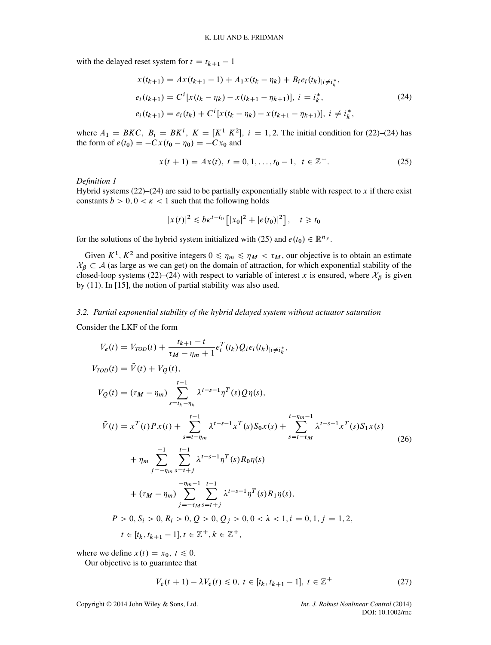with the delayed reset system for  $t = t_{k+1} - 1$ 

<span id="page-7-0"></span>
$$
x(t_{k+1}) = Ax(t_{k+1} - 1) + A_1x(t_k - \eta_k) + B_i e_i(t_k)_{|i \neq i_k^*},
$$
  
\n
$$
e_i(t_{k+1}) = C^i [x(t_k - \eta_k) - x(t_{k+1} - \eta_{k+1})], \quad i = i_k^*,
$$
  
\n
$$
e_i(t_{k+1}) = e_i(t_k) + C^i [x(t_k - \eta_k) - x(t_{k+1} - \eta_{k+1})], \quad i \neq i_k^*,
$$
\n(24)

where  $A_1 = BKC$ ,  $B_i = BK^i$ ,  $K = [K^T K^2]$ ,  $i = 1, 2$ . The initial condition for [\(22\)](#page-6-0)–[\(24\)](#page-7-0) has  $f(x) = [K^T K^T]$ <br> $g(x) = -Cx_0$  and the form of  $e(t_0) = -Cx(t_0 - \eta_0) = -Cx_0$  and

<span id="page-7-1"></span>
$$
x(t+1) = Ax(t), \ t = 0, 1, \dots, t_0 - 1, \ t \in \mathbb{Z}^+.
$$
 (25)

*Definition 1*

Hybrid systems  $(22)$ – $(24)$  are said to be partially exponentially stable with respect to x if there exist constants  $b > 0, 0 < \kappa < 1$  such that the following holds

$$
|x(t)|^2 \leq b\kappa^{t-t_0} \left[ |x_0|^2 + |e(t_0)|^2 \right], \quad t \geq t_0
$$

for the solutions of the hybrid system initialized with [\(25\)](#page-7-1) and  $e(t_0) \in \mathbb{R}^{n_y}$ .

Given  $K^1$ ,  $K^2$  and positive integers  $0 \le \eta_m \le \eta_M < \tau_M$ , our objective is to obtain an estimate  $X_{\beta} \subset A$  (as large as we can get) on the domain of attraction, for which exponential stability of the closed-loop systems [\(22\)](#page-6-0)–[\(24\)](#page-7-0) with respect to variable of interest x is ensured, where  $\mathcal{X}_{\beta}$  is given by [\(11\)](#page-4-5). In [\[15\]](#page-14-0), the notion of partial stability was also used.

#### *3.2. Partial exponential stability of the hybrid delayed system without actuator saturation*

Consider the LKF of the form

<span id="page-7-3"></span>
$$
V_e(t) = V_{TOD}(t) + \frac{t_{k+1} - t}{\tau_M - \eta_m + 1} e_i^T(t_k) Q_i e_i (t_k)_{|i \neq i_k^*},
$$
  
\n
$$
V_{TOD}(t) = \tilde{V}(t) + V_Q(t),
$$
  
\n
$$
V_Q(t) = (\tau_M - \eta_m) \sum_{s=t_k - \eta_k}^{t-1} \lambda^{t-s-1} \eta^T(s) Q \eta(s),
$$
  
\n
$$
\tilde{V}(t) = x^T(t) P x(t) + \sum_{s=t-\eta_m}^{t-1} \lambda^{t-s-1} x^T(s) S_0 x(s) + \sum_{s=t-\tau_M}^{t-\eta_m - 1} \lambda^{t-s-1} x^T(s) S_1 x(s)
$$
  
\n
$$
+ \eta_m \sum_{j=-\eta_m}^{-1} \sum_{s=t+j}^{t-1} \lambda^{t-s-1} \eta^T(s) R_0 \eta(s)
$$
  
\n
$$
+ (\tau_M - \eta_m) \sum_{j=-\tau_M}^{-\eta_m - 1} \sum_{s=t+j}^{t-1} \lambda^{t-s-1} \eta^T(s) R_1 \eta(s),
$$
  
\n
$$
P > 0, S_i > 0, R_i > 0, Q > 0, Q_j > 0, 0 < \lambda < 1, i = 0, 1, j = 1, 2,
$$
  
\n
$$
t \in [t_k, t_{k+1} - 1], t \in \mathbb{Z}^+, k \in \mathbb{Z}^+,
$$
 (11)

where we define  $x(t) = x_0, t \le 0$ .

Our objective is to guarantee that

<span id="page-7-2"></span>
$$
V_e(t+1) - \lambda V_e(t) \le 0, \ t \in [t_k, t_{k+1} - 1], \ t \in \mathbb{Z}^+
$$
 (27)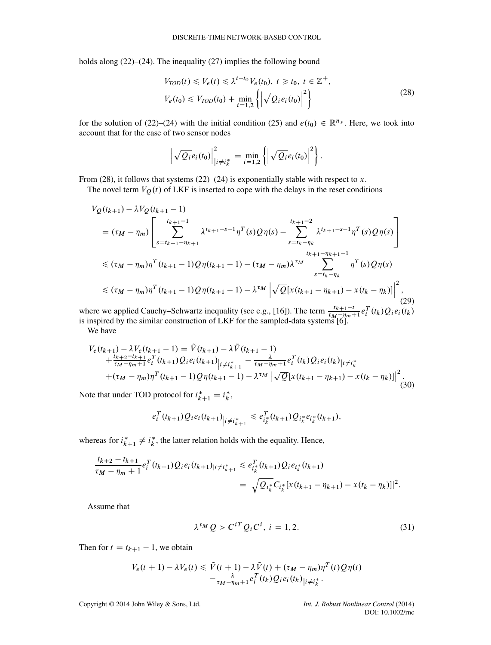holds along [\(22\)](#page-6-0)–[\(24\)](#page-7-0). The inequality [\(27\)](#page-7-2) implies the following bound

<span id="page-8-0"></span>
$$
V_{TOD}(t) \le V_e(t) \le \lambda^{t-t_0} V_e(t_0), \ t \ge t_0, \ t \in \mathbb{Z}^+,
$$
  

$$
V_e(t_0) \le V_{TOD}(t_0) + \min_{i=1,2} \left\{ \left| \sqrt{Q_i} e_i(t_0) \right|^2 \right\}
$$
 (28)

for the solution of [\(22\)](#page-6-0)–[\(24\)](#page-7-0) with the initial condition [\(25\)](#page-7-1) and  $e(t_0) \in \mathbb{R}^{n_y}$ . Here, we took into account that for the case of two sensor nodes

$$
\left|\sqrt{Q_i}e_i(t_0)\right|^2_{\left|i\neq i^*_k\right.}=\min_{i=1,2}\left\{\left|\sqrt{Q_i}e_i(t_0)\right|^2\right\}.
$$

From [\(28\)](#page-8-0), it follows that systems [\(22\)](#page-6-0)–[\(24\)](#page-7-0) is exponentially stable with respect to x.

The novel term  $V_Q(t)$  of LKF is inserted to cope with the delays in the reset conditions

$$
V_{Q}(t_{k+1}) - \lambda V_{Q}(t_{k+1} - 1)
$$
\n
$$
= (\tau_{M} - \eta_{m}) \left[ \sum_{s=t_{k+1} - \eta_{k+1}}^{t_{k+1} - 1} \lambda^{t_{k+1} - s - 1} \eta^{T}(s) Q \eta(s) - \sum_{s=t_{k} - \eta_{k}}^{t_{k+1} - 2} \lambda^{t_{k+1} - s - 1} \eta^{T}(s) Q \eta(s) \right]
$$
\n
$$
\leq (\tau_{M} - \eta_{m}) \eta^{T}(t_{k+1} - 1) Q \eta(t_{k+1} - 1) - (\tau_{M} - \eta_{m}) \lambda^{\tau_{M}} \sum_{s=t_{k} - \eta_{k}}^{t_{k+1} - \eta_{k+1} - 1} \eta^{T}(s) Q \eta(s)
$$
\n
$$
\leq (\tau_{M} - \eta_{m}) \eta^{T}(t_{k+1} - 1) Q \eta(t_{k+1} - 1) - \lambda^{\tau_{M}} \left| \sqrt{Q} [x(t_{k+1} - \eta_{k+1}) - x(t_{k} - \eta_{k})] \right|^{2}, \tag{29}
$$

where we applied Cauchy–Schwartz inequality (see e.g., [\[16\]](#page-14-1)). The term  $\frac{t_{k+1}-t}{t_{k-1}-t_{k-1}}$ where we applied Cauchy–Schwartz inequality (see e.g., [10]). The term  $\frac{1}{\tau_M - \eta_m + 1} e_i^{\tau}$  (*tk*)Qi  $e_i(t_k)$  is inspired by the similar construction of LKF for the sampled-data systems [\[6\]](#page-13-5).

We have

$$
V_e(t_{k+1}) - \lambda V_e(t_{k+1} - 1) = \tilde{V}(t_{k+1}) - \lambda \tilde{V}(t_{k+1} - 1)
$$
  
+  $\frac{t_{k+2} - t_{k+1}}{\tau_M - \eta_m + 1} e_i^T(t_{k+1}) Q_i e_i(t_{k+1})|_{i \neq i_{k+1}^*} - \frac{\lambda}{\tau_M - \eta_m + 1} e_i^T(t_k) Q_i e_i(t_k)|_{i \neq i_k^*}$   
+  $(\tau_M - \eta_m) \eta^T(t_{k+1} - 1) Q \eta(t_{k+1} - 1) - \lambda^{\tau_M} |\sqrt{Q} [x(t_{k+1} - \eta_{k+1}) - x(t_k - \eta_k)]|^2$ . (30)

Note that under TOD protocol for  $i_{k+1}^* = i_k^*$ ,

$$
e_i^T(t_{k+1})Q_i e_i(t_{k+1})_{\big| i \neq i_{k+1}^*} \leq e_{i_k^*}^T(t_{k+1})Q_{i_k^*} e_{i_k^*}(t_{k+1}),
$$

whereas for  $i_{k+1}^* \neq i_k^*$ , the latter relation holds with the equality. Hence,

$$
\frac{t_{k+2} - t_{k+1}}{\tau_M - \eta_m + 1} e_i^T(t_{k+1}) Q_i e_i(t_{k+1}) |_{i \neq i_{k+1}^*} \leq e_{i_k^*}^T(t_{k+1}) Q_i e_{i_k^*}(t_{k+1})
$$
\n
$$
= |\sqrt{Q_{i_k^*}} C_{i_k^*} [x(t_{k+1} - \eta_{k+1}) - x(t_k - \eta_k)]|^2.
$$

Assume that

<span id="page-8-1"></span>
$$
\lambda^{\tau_M} Q > C^{iT} Q_i C^i, \quad i = 1, 2. \tag{31}
$$

Then for  $t = t_{k+1} - 1$ , we obtain

$$
V_e(t+1) - \lambda V_e(t) \leq \tilde{V}(t+1) - \lambda \tilde{V}(t) + (\tau_M - \eta_m)\eta^T(t)Q\eta(t)
$$
  

$$
-\frac{\lambda}{\tau_M - \eta_m + 1}e_i^T(t_k)Q_ie_i(t_k)|_{i \neq i_k^*}.
$$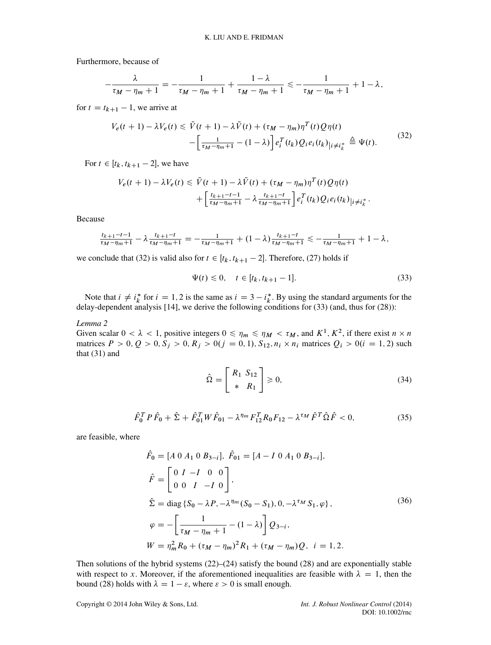Furthermore, because of

$$
-\frac{\lambda}{\tau_M-\eta_m+1}=-\frac{1}{\tau_M-\eta_m+1}+\frac{1-\lambda}{\tau_M-\eta_m+1}\leq -\frac{1}{\tau_M-\eta_m+1}+1-\lambda,
$$

for  $t = t_{k+1} - 1$ , we arrive at

<span id="page-9-1"></span>
$$
V_e(t+1) - \lambda V_e(t) \leq \tilde{V}(t+1) - \lambda \tilde{V}(t) + (\tau_M - \eta_m)\eta^T(t)Q\eta(t)
$$
  
 
$$
- \left[\frac{1}{\tau_M - \eta_m + 1} - (1 - \lambda)\right] e_i^T(t_k)Q_i e_i(t_k)|_{i \neq i_k^*} \stackrel{\triangle}{=} \Psi(t).
$$
 (32)

For  $t \in [t_k, t_{k+1} - 2]$ , we have

$$
V_e(t + 1) - \lambda V_e(t) \le \tilde{V}(t + 1) - \lambda \tilde{V}(t) + (\tau_M - \eta_m) \eta^T(t) Q \eta(t) + \left[ \frac{t_{k+1} - t - 1}{\tau_M - \eta_m + 1} - \lambda \frac{t_{k+1} - t}{\tau_M - \eta_m + 1} \right] e_i^T(t_k) Q_i e_i(t_k)_{|i \ne i_k^*}.
$$

Because

$$
\frac{t_{k+1}-t-1}{\tau_M-\eta_m+1}-\lambda\frac{t_{k+1}-t}{\tau_M-\eta_m+1}=-\frac{1}{\tau_M-\eta_m+1}+(1-\lambda)\frac{t_{k+1}-t}{\tau_M-\eta_m+1}\leq-\frac{1}{\tau_M-\eta_m+1}+1-\lambda,
$$

we conclude that [\(32\)](#page-9-1) is valid also for  $t \in [t_k, t_{k+1} - 2]$ . Therefore, [\(27\)](#page-7-2) holds if

<span id="page-9-2"></span>
$$
\Psi(t) \le 0, \quad t \in [t_k, t_{k+1} - 1]. \tag{33}
$$

Note that  $i \neq i^*_{k}$  for  $i = 1, 2$  is the same as  $i = 3 - i^*_{k}$ . By using the standard arguments for the lav-dependent analysis [14], we derive the following conditions for (33) (and, thus for (28)): delay-dependent analysis [\[14\]](#page-13-12), we derive the following conditions for  $(33)$  (and, thus for  $(28)$ ):

<span id="page-9-0"></span>*Lemma 2*

Given scalar  $0 < \lambda < 1$ , positive integers  $0 \le \eta_m \le \eta_M < \tau_M$ , and  $K^1, K^2$ , if there exist  $n \times n$  matrices  $P > 0$ ,  $Q > 0$ ,  $S_i > 0$ ,  $R_i > 0$  ( $i = 0, 1$ ),  $S_i, n_i \times n_i$  matrices  $Q_i > 0$  ( $i = 1, 2$ ) such matrices  $P > 0$ ,  $Q > 0$ ,  $S_j > 0$ ,  $R_j > 0$  $(j = 0, 1)$ ,  $S_{12}$ ,  $n_i \times n_i$  matrices  $Q_i > 0$  $(i = 1, 2)$  such that (31) and that [\(31\)](#page-8-1) and

<span id="page-9-3"></span>
$$
\hat{\Omega} = \begin{bmatrix} R_1 & S_{12} \\ * & R_1 \end{bmatrix} \geq 0,\tag{34}
$$

<span id="page-9-4"></span>
$$
\hat{F}_0^T P \hat{F}_0 + \hat{\Sigma} + \hat{F}_{01}^T W \hat{F}_{01} - \lambda^{\eta_m} F_{12}^T R_0 F_{12} - \lambda^{\tau_M} \hat{F}^T \hat{\Omega} \hat{F} < 0,\tag{35}
$$

are feasible, where

<span id="page-9-5"></span>
$$
\hat{F}_0 = [A \ 0 \ A_1 \ 0 \ B_{3-i}], \ \hat{F}_{01} = [A - I \ 0 \ A_1 \ 0 \ B_{3-i}],
$$
\n
$$
\hat{F} = \begin{bmatrix} 0 & I & -I & 0 & 0 \\ 0 & 0 & I & -I & 0 \end{bmatrix},
$$
\n
$$
\hat{\Sigma} = \text{diag} \{ S_0 - \lambda P, -\lambda^{\eta_m} (S_0 - S_1), 0, -\lambda^{\tau_M} S_1, \varphi \},
$$
\n
$$
\varphi = -\left[ \frac{1}{\tau_M - \eta_m + 1} - (1 - \lambda) \right] Q_{3-i},
$$
\n
$$
W = \eta_m^2 R_0 + (\tau_M - \eta_m)^2 R_1 + (\tau_M - \eta_m) Q, \ \ i = 1, 2.
$$
\n(36)

Then solutions of the hybrid systems  $(22)$ – $(24)$  satisfy the bound  $(28)$  and are exponentially stable with respect to x. Moreover, if the aforementioned inequalities are feasible with  $\lambda = 1$ , then the bound [\(28\)](#page-8-0) holds with  $\lambda = 1 - \varepsilon$ , where  $\varepsilon > 0$  is small enough.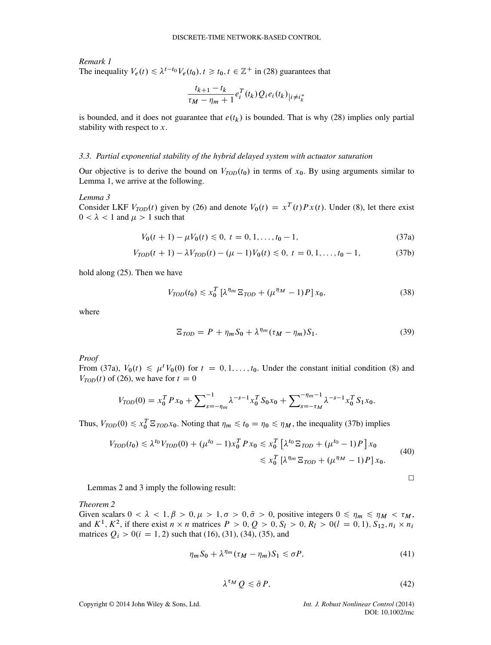# *Remark 1* The inequality  $V_e(t) \leq \lambda^{t-t_0} V_e(t_0), t \geq t_0, t \in \mathbb{Z}^+$  in [\(28\)](#page-8-0) guarantees that

$$
\frac{t_{k+1}-t_k}{\tau_M-\eta_m+1}e_i^T(t_k)Q_ie_i(t_k)|_{i\neq i_k^*}
$$

is bounded, and it does not guarantee that  $e(t_k)$  is bounded. That is why [\(28\)](#page-8-0) implies only partial stability with respect to  $x$ .

#### *3.3. Partial exponential stability of the hybrid delayed system with actuator saturation*

Our objective is to derive the bound on  $V_{TOD}(t_0)$  in terms of  $x_0$ . By using arguments similar to Lemma [1,](#page-4-3) we arrive at the following.

#### <span id="page-10-2"></span>*Lemma 3*

Consider LKF  $V_{TOD}(t)$  given by [\(26\)](#page-7-3) and denote  $V_0(t) = x^T(t)Px(t)$ . Under [\(8\)](#page-3-3), let there exist  $0 < \lambda < 1$  and  $\mu > 1$  such that

$$
V_0(t+1) - \mu V_0(t) \le 0, \ t = 0, 1, \dots, t_0 - 1,\tag{37a}
$$

$$
V_{TOD}(t+1) - \lambda V_{TOD}(t) - (\mu - 1)V_0(t) \le 0, \ t = 0, 1, \dots, t_0 - 1,
$$
 (37b)

hold along [\(25\)](#page-7-1). Then we have

<span id="page-10-4"></span><span id="page-10-0"></span>
$$
V_{TOD}(t_0) \leq x_0^T \left[ \lambda^{\eta_m} \, \Xi_{TOD} + (\mu^{\eta_M} - 1) P \right] x_0,\tag{38}
$$

where

$$
\Xi_{\text{TOP}} = P + \eta_m S_0 + \lambda^{\eta_m} (\tau_M - \eta_m) S_1. \tag{39}
$$

*Proof*

From [\(37a\)](#page-10-0),  $V_0(t) \le \mu^t V_0(0)$  for  $t = 0, 1, \ldots, t_0$ . Under the constant initial condition [\(8\)](#page-3-3) and  $V_{\text{non}}(t)$  of (26) we have for  $t = 0$  $V_{TOD}(t)$  of [\(26\)](#page-7-3), we have for  $t = 0$ 

$$
V_{TOD}(0) = x_0^T P x_0 + \sum_{s=-\eta_m}^{-1} \lambda^{-s-1} x_0^T S_0 x_0 + \sum_{s=-\tau_M}^{-\eta_m-1} \lambda^{-s-1} x_0^T S_1 x_0.
$$

Thus,  $V_{TOD}(0) \le x_0^T \Xi_{TOD}x_0$ . Noting that  $\eta_m \le t_0 = \eta_0 \le \eta_M$ , the inequality [\(37b\)](#page-10-1) implies

$$
V_{TOD}(t_0) \le \lambda^{t_0} V_{TOD}(0) + (\mu^{t_0} - 1)x_0^T P x_0 \le x_0^T \left[ \lambda^{t_0} \Xi_{TOD} + (\mu^{t_0} - 1) P \right] x_0
$$
  

$$
\le x_0^T \left[ \lambda^{\eta_m} \Xi_{TOD} + (\mu^{\eta_M} - 1) P \right] x_0.
$$
 (40)

<span id="page-10-1"></span>
$$
\Box
$$

Lemmas [2](#page-9-0) and [3](#page-10-2) imply the following result:

<span id="page-10-6"></span>*Theorem 2*

Given scalars  $0 < \lambda < 1, \beta > 0, \mu > 1, \sigma > 0, \bar{\sigma} > 0$ , positive integers  $0 \le \eta_m \le \eta_M < \tau_M$ , and  $K^1, K^2$ , if there exist  $n \times n$  matrices  $P > 0, Q > 0, S_l > 0, R_l > 0$   $(l = 0, 1), S_{12}, n_i \times n_i$ matrices  $Q_i > 0$  ( $i = 1, 2$ ) such that [\(16\)](#page-5-0), [\(31\)](#page-8-1), [\(34\)](#page-9-3), [\(35\)](#page-9-4), and

<span id="page-10-5"></span>
$$
\eta_m S_0 + \lambda^{\eta_m} (\tau_M - \eta_m) S_1 \leq \sigma P,\tag{41}
$$

<span id="page-10-3"></span>
$$
\lambda^{\tau_M} Q \leq \bar{\sigma} P,\tag{42}
$$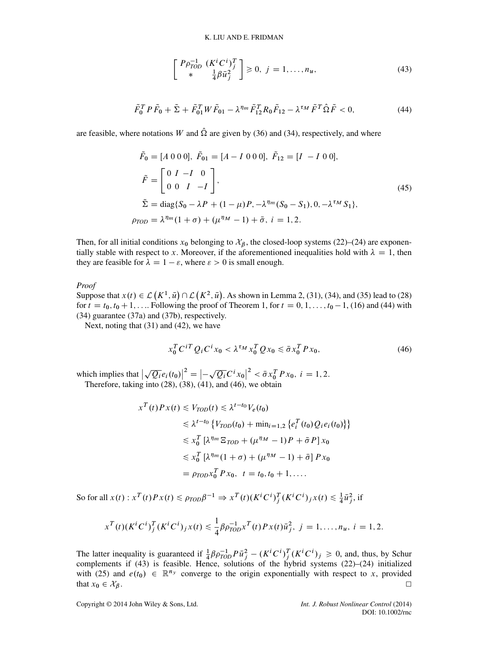<span id="page-11-2"></span>
$$
\begin{bmatrix}\nP\rho_{TOD}^{-1} & (K^i C^i)^T_j \\
* & \frac{1}{4}\beta \bar{u}_j^2\n\end{bmatrix} \ge 0, \ j = 1, \dots, n_u,\tag{43}
$$

<span id="page-11-0"></span>
$$
\tilde{F}_0^T P \tilde{F}_0 + \tilde{\Sigma} + \tilde{F}_{01}^T W \tilde{F}_{01} - \lambda^{\eta_m} \tilde{F}_{12}^T R_0 \tilde{F}_{12} - \lambda^{\tau_M} \tilde{F}^T \hat{\Omega} \tilde{F} < 0,\tag{44}
$$

are feasible, where notations W and  $\hat{\Omega}$  are given by [\(36\)](#page-9-5) and [\(34\)](#page-9-3), respectively, and where

$$
\tilde{F}_0 = [A \ 0 \ 0 \ 0], \ \tilde{F}_{01} = [A - I \ 0 \ 0 \ 0], \ \tilde{F}_{12} = [I - I \ 0 \ 0],
$$
\n
$$
\tilde{F} = \begin{bmatrix} 0 & I & -I & 0 \\ 0 & 0 & I & -I \end{bmatrix},
$$
\n
$$
\tilde{\Sigma} = \text{diag}\{S_0 - \lambda P + (1 - \mu)P, -\lambda^{\eta_m}(S_0 - S_1), 0, -\lambda^{\tau_M}S_1\},
$$
\n
$$
\rho_{TOD} = \lambda^{\eta_m}(1 + \sigma) + (\mu^{\eta_M} - 1) + \bar{\sigma}, \ i = 1, 2.
$$
\n(45)

Then, for all initial conditions  $x_0$  belonging to  $\mathcal{X}_{\beta}$ , the closed-loop systems [\(22\)](#page-6-0)–[\(24\)](#page-7-0) are exponentially stable with respect to x. Moreover, if the aforementioned inequalities hold with  $\lambda = 1$ , then they are feasible for  $\lambda = 1 - \varepsilon$ , where  $\varepsilon > 0$  is small enough.

#### *Proof*

Suppose that  $x(t) \in \mathcal{L}(K^1, \bar{u}) \cap \mathcal{L}(K^2, \bar{u})$ . As shown in Lemma [2,](#page-9-0) [\(31\)](#page-8-1), [\(34\)](#page-9-3), and [\(35\)](#page-9-4) lead to [\(28\)](#page-8-0) for  $t = t_0$ ,  $t_0 + 1$  . Following the proof of Theorem 1, for  $t = 0, 1$ ,  $t_0 = 1$ , (16) and (44) with  $K^{\dagger}$ ,  $u \in K^{\dagger}$ ,  $u \in K^{\dagger}$ ,  $u \in K^{\dagger}$ for  $t = t_0, t_0 + 1, \ldots$  $t = t_0, t_0 + 1, \ldots$  $t = t_0, t_0 + 1, \ldots$  Following the proof of Theorem 1, for  $t = 0, 1, \ldots, t_0 - 1$ , [\(16\)](#page-5-0) and [\(44\)](#page-11-0) with (34) ouarantee (37a) and (37b) respectively [\(34\)](#page-9-3) guarantee [\(37a\)](#page-10-0) and [\(37b\)](#page-10-1), respectively.

Next, noting that [\(31\)](#page-8-1) and [\(42\)](#page-10-3), we have

<span id="page-11-1"></span>
$$
x_0^T C^{iT} Q_i C^i x_0 < \lambda^{\tau_M} x_0^T Q x_0 \le \bar{\sigma} x_0^T P x_0,\tag{46}
$$

which implies that  $\vert$  $\sqrt{Q_i}e_i(t_0)\Big|^2 = \left|-\sqrt{Q_i}C^ix_0\right|^2 < \bar{\sigma}x_0^TPx_0, i = 1, 2.$ <br>into (28) (38) (41) and (46) we obtain inch implies that  $|\sqrt{Q_i}e_i(t_0)| = |\sqrt{Q_i}C^*x_0| < \sigma x_0^2$ <br>Therefore, taking into [\(28\)](#page-8-0), [\(38\)](#page-10-4), [\(41\)](#page-10-5), and [\(46\)](#page-11-1), we obtain

$$
x^{T}(t)Px(t) \leq V_{TOD}(t) \leq \lambda^{t-t_{0}}V_{e}(t_{0})
$$
  
\n
$$
\leq \lambda^{t-t_{0}} \{V_{TOD}(t_{0}) + \min_{i=1,2} \{e_{i}^{T}(t_{0})Q_{i}e_{i}(t_{0})\}\}
$$
  
\n
$$
\leq x_{0}^{T} [\lambda^{\eta_{m}} \Xi_{TOD} + (\mu^{\eta_{M}} - 1)P + \bar{\sigma}P]x_{0}
$$
  
\n
$$
\leq x_{0}^{T} [\lambda^{\eta_{m}}(1 + \sigma) + (\mu^{\eta_{M}} - 1) + \bar{\sigma}]Px_{0}
$$
  
\n
$$
= \rho_{TOD}x_{0}^{T}Px_{0}, t = t_{0}, t_{0} + 1, ....
$$

So for all  $x(t)$ :  $x^T(t)Px(t) \leq \rho_{TOD}\beta^{-1} \Rightarrow x^T(t)(K^tC^t)^T_j(K^tC^t)_jx(t) \leq \frac{1}{4}\overline{u}_j^2$ , if

$$
x^{T}(t)(K^{i}C^{i})_{j}^{T}(K^{i}C^{i})_{j}x(t) \leq \frac{1}{4}\beta\rho_{TOD}^{-1}x^{T}(t)Px(t)\bar{u}_{j}^{2}, \quad j=1,\ldots,n_{u}, \quad i=1,2.
$$

The latter inequality is guaranteed if  $\frac{1}{4} \beta \rho_{T0D}^{-1} P \bar{u}_j^2 - (K^i C^i)^T_j (K^i C^i)_j \ge 0$ , and, thus, by Schur<br>complements if (43) is feasible. Hence, solutions of the hybrid systems (22)–(24) initialized The latter inequality is guaranteed if  $\frac{1}{4}\beta \rho_{T\dot{O}D} P u_i^2 - (K^*C^*)^2 (K^*C^*)^2 \geq 0$ , and, thus, by Schur complements if [\(43\)](#page-11-2) is feasible. Hence, solutions of the hybrid systems [\(22\)](#page-6-0)–[\(24\)](#page-7-0) initialized with [\(25\)](#page-7-1) and  $e(t_0) \in \mathbb{R}^{n_y}$  converge to the origin exponentially with respect to x, provided that  $x_0 \in \mathcal{X}_{\beta}$ . that  $x_0 \in \mathcal{X}_{\beta}$ .  $\Box$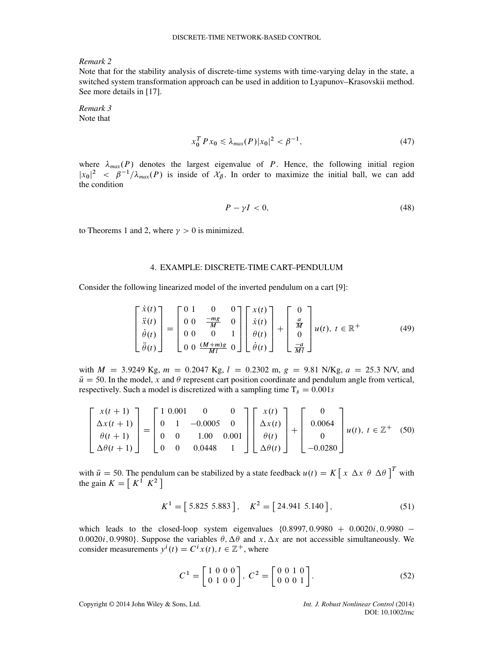*Remark 2*

Note that for the stability analysis of discrete-time systems with time-varying delay in the state, a switched system transformation approach can be used in addition to Lyapunov–Krasovskii method. See more details in [\[17\]](#page-14-2).

<span id="page-12-0"></span>*Remark 3* Note that

$$
x_0^T P x_0 \le \lambda_{max}(P) |x_0|^2 < \beta^{-1},\tag{47}
$$

where  $\lambda_{max}(P)$  denotes the largest eigenvalue of P. Hence, the following initial region  $|x_0|^2 \leq \rho$ <br>the condition  $|x_0|^2 < \beta^{-1}/\lambda_{max}(P)$  is inside of  $\mathcal{X}_{\beta}$ . In order to maximize the initial ball, we can add

$$
P - \gamma I < 0,\tag{48}
$$

to Theorems [1](#page-4-6) and [2,](#page-10-6) where  $\gamma > 0$  is minimized.

#### 4. EXAMPLE: DISCRETE-TIME CART–PENDULUM

Consider the following linearized model of the inverted pendulum on a cart [\[9\]](#page-13-7):

$$
\begin{bmatrix} \dot{x}(t) \\ \ddot{x}(t) \\ \dot{\theta}(t) \\ \ddot{\theta}(t) \end{bmatrix} = \begin{bmatrix} 0 & 1 & 0 & 0 \\ 0 & 0 & \frac{-mg}{M} & 0 \\ 0 & 0 & 0 & 1 \\ 0 & 0 & \frac{(M+m)g}{Ml} & 0 \end{bmatrix} \begin{bmatrix} x(t) \\ \dot{x}(t) \\ \theta(t) \\ \dot{\theta}(t) \end{bmatrix} + \begin{bmatrix} 0 \\ \frac{a}{M} \\ 0 \\ \frac{-a}{Ml} \end{bmatrix} u(t), \ t \in \mathbb{R}^+ \tag{49}
$$

with  $M = 3.9249$  Kg,  $m = 0.2047$  Kg,  $l = 0.2302$  m,  $g = 9.81$  N/Kg,  $a = 25.3$  N/V, and  $\bar{u} = 50$ . In the model, x and  $\theta$  represent cart position coordinate and pendulum angle from vertical, respectively. Such a model is discretized with a sampling time  $T_s = 0.001s$ 

$$
\begin{bmatrix} x(t+1) \\ \Delta x(t+1) \\ \theta(t+1) \\ \Delta \theta(t+1) \end{bmatrix} = \begin{bmatrix} 1 & 0.001 & 0 & 0 \\ 0 & 1 & -0.0005 & 0 \\ 0 & 0 & 1.00 & 0.001 \\ 0 & 0 & 0.0448 & 1 \end{bmatrix} \begin{bmatrix} x(t) \\ \Delta x(t) \\ \theta(t) \\ \Delta \theta(t) \end{bmatrix} + \begin{bmatrix} 0 \\ 0.0064 \\ 0 \\ -0.0280 \end{bmatrix} u(t), \ t \in \mathbb{Z}^{+} \quad (50)
$$

with  $\bar{u} = 50$ . The pendulum can be stabilized by a state feedback  $u(t) = K \left[ x \Delta x \theta \Delta \theta \right]^t$  with the gain  $K - \left[ K^T K^2 \right]$ the gain  $K = [K^1 \ K^2]$ 

$$
K^{1} = [5.825 \ 5.883], \quad K^{2} = [24.941 \ 5.140], \tag{51}
$$

which leads to the closed-loop system eigenvalues  $\{0.8997, 0.9980 + 0.0020i, 0.9980 -$ 0.0020i, 0.9980}. Suppose the variables  $\theta$ ,  $\Delta\theta$  and x,  $\Delta x$  are not accessible simultaneously. We consider measurements  $y^{i}(t) = C^{i}x(t), t \in \mathbb{Z}^{+}$ , where

$$
C^{1} = \begin{bmatrix} 1 & 0 & 0 & 0 \\ 0 & 1 & 0 & 0 \end{bmatrix}, C^{2} = \begin{bmatrix} 0 & 0 & 1 & 0 \\ 0 & 0 & 0 & 1 \end{bmatrix}.
$$
 (52)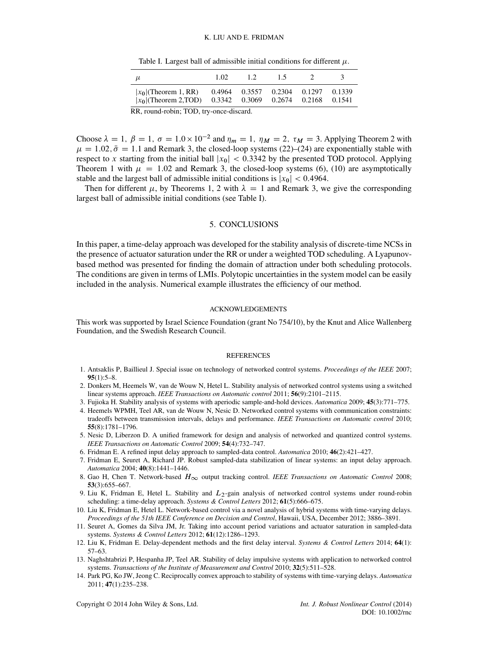<span id="page-13-13"></span>Table I. Largest ball of admissible initial conditions for different  $\mu$ .

| $\mu$                                              | 1.02 | 12                                                                 | 1.5 |  | $\ddot{\phantom{1}}$ |
|----------------------------------------------------|------|--------------------------------------------------------------------|-----|--|----------------------|
| $ x_0 $ (Theorem 1, RR)<br>$ x_0 $ (Theorem 2,TOD) |      | $0.4964$ $0.3557$ $0.2304$ $0.1297$<br>0.3342 0.3069 0.2674 0.2168 |     |  | 0.1339<br>0.1541     |
| RR, round-robin; TOD, try-once-discard.            |      |                                                                    |     |  |                      |

Choose  $\lambda = 1$ ,  $\beta = 1$ ,  $\sigma = 1.0 \times 10^{-2}$  and  $\eta_m = 1$ ,  $\eta_M = 2$  $\eta_M = 2$ ,  $\tau_M = 3$ . Applying Theorem 2 with  $\mu = 1.02$ ,  $\bar{\sigma} = 1.1$  and Remark [3,](#page-12-0) the closed-loop systems [\(22\)](#page-6-0)–[\(24\)](#page-7-0) are exponentially stable with respect to x starting from the initial ball  $|x_0| < 0.3342$  by the presented TOD protocol. Applying Theorem [1](#page-4-6) with  $\mu = 1.02$  and Remark [3,](#page-12-0) the closed-loop systems [\(6\)](#page-3-0), [\(10\)](#page-3-1) are asymptotically stable and the largest ball of admissible initial conditions is  $|x_0|$  < 0.4964.

Then for different  $\mu$ , by Theorems [1,](#page-4-6) [2](#page-10-6) with  $\lambda = 1$  and Remark [3,](#page-12-0) we give the corresponding largest ball of admissible initial conditions (see Table [I\)](#page-13-13).

## 5. CONCLUSIONS

In this paper, a time-delay approach was developed for the stability analysis of discrete-time NCSs in the presence of actuator saturation under the RR or under a weighted TOD scheduling. A Lyapunovbased method was presented for finding the domain of attraction under both scheduling protocols. The conditions are given in terms of LMIs. Polytopic uncertainties in the system model can be easily included in the analysis. Numerical example illustrates the efficiency of our method.

#### ACKNOWLEDGEMENTS

This work was supported by Israel Science Foundation (grant No 754/10), by the Knut and Alice Wallenberg Foundation, and the Swedish Research Council.

#### **REFERENCES**

- <span id="page-13-0"></span>1. Antsaklis P, Baillieul J. Special issue on technology of networked control systems. *Proceedings of the IEEE* 2007; **95**(1):5–8.
- <span id="page-13-1"></span>2. Donkers M, Heemels W, van de Wouw N, Hetel L. Stability analysis of networked control systems using a switched linear systems approach. *IEEE Transactions on Automatic control* 2011; **56**(9):2101–2115.
- <span id="page-13-2"></span>3. Fujioka H. Stability analysis of systems with aperiodic sample-and-hold devices. *Automatica* 2009; **45**(3):771–775.
- <span id="page-13-3"></span>4. Heemels WPMH, Teel AR, van de Wouw N, Nesic D. Networked control systems with communication constraints: tradeoffs between transmission intervals, delays and performance. *IEEE Transactions on Automatic control* 2010; **55**(8):1781–1796.
- <span id="page-13-4"></span>5. Nesic D, Liberzon D. A unified framework for design and analysis of networked and quantized control systems. *IEEE Transactions on Automatic Control* 2009; **54**(4):732–747.
- <span id="page-13-5"></span>6. Fridman E. A refined input delay approach to sampled-data control. *Automatica* 2010; **46**(2):421–427.
- 7. Fridman E, Seuret A, Richard JP. Robust sampled-data stabilization of linear systems: an input delay approach. *Automatica* 2004; **40**(8):1441–1446.
- <span id="page-13-6"></span>8. Gao H, Chen T. Network-based  $H_{\infty}$  output tracking control. *IEEE Transactions on Automatic Control* 2008; **53**(3):655–667.
- <span id="page-13-7"></span>9. Liu K, Fridman E, Hetel L. Stability and  $L_2$ -gain analysis of networked control systems under round-robin scheduling: a time-delay approach. *Systems & Control Letters* 2012; **61**(5):666–675.
- <span id="page-13-8"></span>10. Liu K, Fridman E, Hetel L. Network-based control via a novel analysis of hybrid systems with time-varying delays. *Proceedings of the 51th IEEE Conference on Decision and Control*, Hawaii, USA, December 2012; 3886–3891.
- <span id="page-13-9"></span>11. Seuret A, Gomes da Silva JM, Jr. Taking into account period variations and actuator saturation in sampled-data systems. *Systems & Control Letters* 2012; **61**(12):1286–1293.
- <span id="page-13-10"></span>12. Liu K, Fridman E. Delay-dependent methods and the first delay interval. *Systems & Control Letters* 2014; **64**(1): 57–63.
- <span id="page-13-11"></span>13. Naghshtabrizi P, Hespanha JP, Teel AR. Stability of delay impulsive systems with application to networked control systems. *Transactions of the Institute of Measurement and Control* 2010; **32**(5):511–528.
- <span id="page-13-12"></span>14. Park PG, Ko JW, Jeong C. Reciprocally convex approach to stability of systems with time-varying delays. *Automatica* 2011; **47**(1):235–238.